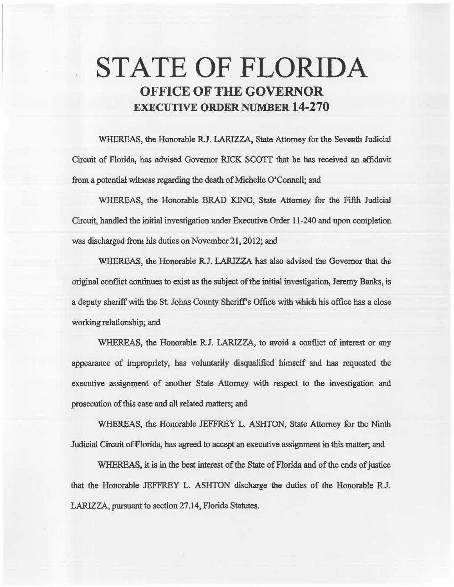# STATE OF FLORIDA OFFICE OF THE GOVERNOR EXECUTIVE ORDER NUMBER 14-270

WHEREAS, the Honorable R.J. LARIZZA, State Attorney for the Seventh Judicial Circuit of Florida, has advised Governor RICK SCOTI that he has received an affidavit from a potential witness regarding the death of Michelie O'Connell; and

WHEREAS, the Honorable BRAD KING, State Attorney for the Fifth Judicial Circuit, handled the initial investigation under Executive Order 11-240 and upon completion was discharged from his duties on November 21, 2012; and

WHEREAS, the Honorable R.J. LARIZZA has also advised the Governor that the original conflict continues to exist as the subject of the initial investigation, Jeremy Banks, is a depaty sheriff with the St. Johns County Sheriff's Office with which his office bas a close working relationship; and

WHEREAS, the Honorable R.J. LARIZZA, to avoid a conflict of interest or any appearance of impropriety, has voluntarily disqualified himself and has requested the executive assignment of another State Attorney with respect to the investigation and prosecution of this case and all related matters; and

WHEREAS, the Honorable JEFFREY L. ASHTON, State Attorney for the Ninth Judicial Circuit of Florida, has agreed to accept an executive assignment in this matter; and

WHEREAS, it is in the best interest of the State of Florida and of the ends of justice that the Honorable JEFFREY L. ASHTON discharge the duties of the Honorable RJ. LARIZZA, pursuant to section 27.14, Florida Statutes.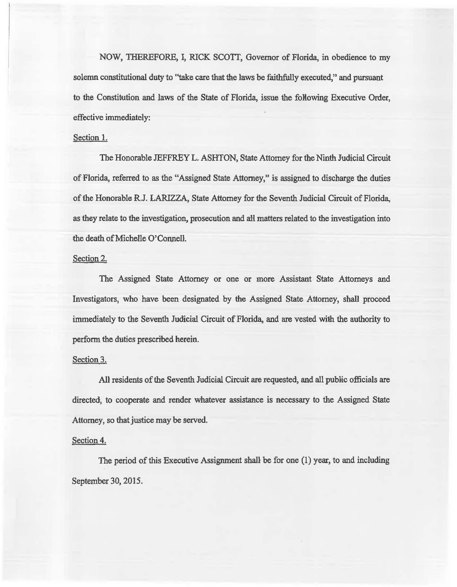NOW, THEREFORE, I, RICK SCOTI, Governor of Florida, in obedience to my solemn constitutional duty to "take care that the laws be faithfully executed," and pursuant to the Constitution and laws of the State of Florida, issue the following Executive Order, effective immediately:

## Section 1.

The Honorable JEFFREY L. ASHTON, State Attorney for the Ninth Judicial Circuit of Florida, referred to as the "Assigned State Attorney," is assigned to discharge the duties of the Honorable R.J. LARIZZA, State Attorney for the Seventh Judicial Circuit of Florida, as they relate to the investigation, prosecution and ait matters related to the investigation into the death of Michelle O'Connell.

#### Section 2.

The Assigned State Attorney or one or more Assistant State Attorneys and Investigators, who have been designated by the Assigned State Attorney, shall proceed immediately to the Seventh Judicial. Circuit of Florida, and are vested with the authority to perform the duties prescribed herein.

#### Section 3.

All residents of the Seventh Judicial Circuit are requested, and all public officials are directed, to cooperate and render whatever assistance is necessary to the Assigned State Attorney, so that justice may be served.

### Section 4.

The period of this Executive Assignment shall be for one (1) year, to and including September 30, 2015.